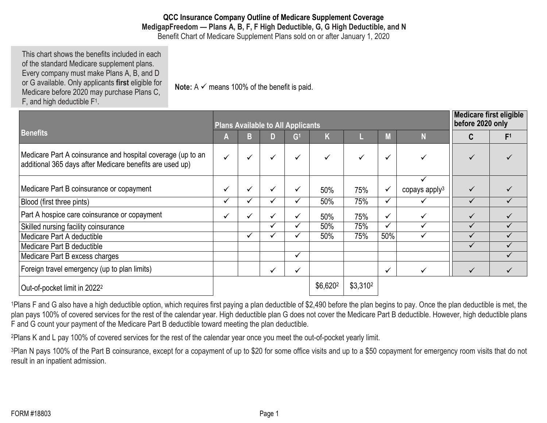**QCC Insurance Company Outline of Medicare Supplement Coverage MedigapFreedom — Plans A, B, F, F High Deductible, G, G High Deductible, and N** Benefit Chart of Medicare Supplement Plans sold on or after January 1, 2020

This chart shows the benefits included in each of the standard Medicare supplement plans. Every company must make Plans A, B, and D or G available. Only applicants **first** eligible for Medicare before 2020 may purchase Plans C, F, and high deductible F1.

**Note:**  $A \n\checkmark$  means 100% of the benefit is paid.

|                                                                                                                         | <b>Plans Available to All Applicants</b> |              |   |                |          |                      |              |                           |              | <b>Medicare first eligible</b><br>before 2020 only |  |
|-------------------------------------------------------------------------------------------------------------------------|------------------------------------------|--------------|---|----------------|----------|----------------------|--------------|---------------------------|--------------|----------------------------------------------------|--|
| <b>Benefits</b>                                                                                                         | m                                        |              | D | G <sup>1</sup> | M        |                      | M            |                           |              | F <sup>1</sup>                                     |  |
| Medicare Part A coinsurance and hospital coverage (up to an<br>additional 365 days after Medicare benefits are used up) | $\checkmark$                             |              |   |                |          |                      |              |                           |              |                                                    |  |
|                                                                                                                         |                                          |              |   |                |          |                      |              |                           |              |                                                    |  |
| Medicare Part B coinsurance or copayment                                                                                | $\checkmark$                             | $\checkmark$ |   |                | 50%      | 75%                  | $\checkmark$ | copays apply <sup>3</sup> | $\checkmark$ |                                                    |  |
| Blood (first three pints)                                                                                               | ✓                                        |              |   |                | 50%      | 75%                  | ✓            |                           | ✓            |                                                    |  |
| Part A hospice care coinsurance or copayment                                                                            | ✓                                        |              |   |                | 50%      | 75%                  | ✓            |                           | ✓            |                                                    |  |
| Skilled nursing facility coinsurance                                                                                    |                                          |              |   |                | 50%      | 75%                  | $\checkmark$ |                           |              |                                                    |  |
| Medicare Part A deductible                                                                                              |                                          |              |   |                | 50%      | 75%                  | 50%          |                           |              |                                                    |  |
| Medicare Part B deductible                                                                                              |                                          |              |   |                |          |                      |              |                           |              |                                                    |  |
| Medicare Part B excess charges                                                                                          |                                          |              |   | ✓              |          |                      |              |                           |              |                                                    |  |
| Foreign travel emergency (up to plan limits)                                                                            |                                          |              |   |                |          |                      |              |                           | $\checkmark$ |                                                    |  |
| Out-of-pocket limit in 2022 <sup>2</sup>                                                                                |                                          |              |   |                | \$6,6202 | \$3,310 <sup>2</sup> |              |                           |              |                                                    |  |

1Plans F and G also have a high deductible option, which requires first paying a plan deductible of \$2,490 before the plan begins to pay. Once the plan deductible is met, the plan pays 100% of covered services for the rest of the calendar year. High deductible plan G does not cover the Medicare Part B deductible. However, high deductible plans F and G count your payment of the Medicare Part B deductible toward meeting the plan deductible.

2Plans K and L pay 100% of covered services for the rest of the calendar year once you meet the out-of-pocket yearly limit.

3Plan N pays 100% of the Part B coinsurance, except for a copayment of up to \$20 for some office visits and up to a \$50 copayment for emergency room visits that do not result in an inpatient admission.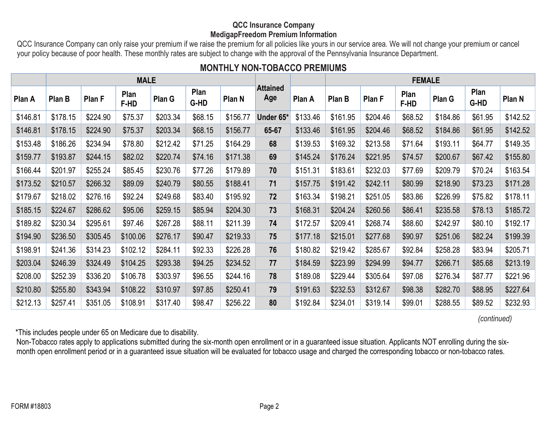#### **QCC Insurance Company MedigapFreedom Premium Information**

QCC Insurance Company can only raise your premium if we raise the premium for all policies like yours in our service area. We will not change your premium or cancel your policy because of poor health. These monthly rates are subject to change with the approval of the Pennsylvania Insurance Department.

# **MONTHLY NON-TOBACCO PREMIUMS**

|          | <b>MALE</b> |          |              |          |              |          |                        |          |          |          |                     |          |              |          |
|----------|-------------|----------|--------------|----------|--------------|----------|------------------------|----------|----------|----------|---------------------|----------|--------------|----------|
| Plan A   | Plan B      | Plan F   | Plan<br>F-HD | Plan G   | Plan<br>G-HD | Plan N   | <b>Attained</b><br>Age | Plan A   | Plan B   | Plan F   | Plan<br><b>F-HD</b> | Plan G   | Plan<br>G-HD | Plan N   |
| \$146.81 | \$178.15    | \$224.90 | \$75.37      | \$203.34 | \$68.15      | \$156.77 | Under 65*              | \$133.46 | \$161.95 | \$204.46 | \$68.52             | \$184.86 | \$61.95      | \$142.52 |
| \$146.81 | \$178.15    | \$224.90 | \$75.37      | \$203.34 | \$68.15      | \$156.77 | 65-67                  | \$133.46 | \$161.95 | \$204.46 | \$68.52             | \$184.86 | \$61.95      | \$142.52 |
| \$153.48 | \$186.26    | \$234.94 | \$78.80      | \$212.42 | \$71.25      | \$164.29 | 68                     | \$139.53 | \$169.32 | \$213.58 | \$71.64             | \$193.11 | \$64.77      | \$149.35 |
| \$159.77 | \$193.87    | \$244.15 | \$82.02      | \$220.74 | \$74.16      | \$171.38 | 69                     | \$145.24 | \$176.24 | \$221.95 | \$74.57             | \$200.67 | \$67.42      | \$155.80 |
| \$166.44 | \$201.97    | \$255.24 | \$85.45      | \$230.76 | \$77.26      | \$179.89 | 70                     | \$151.31 | \$183.61 | \$232.03 | \$77.69             | \$209.79 | \$70.24      | \$163.54 |
| \$173.52 | \$210.57    | \$266.32 | \$89.09      | \$240.79 | \$80.55      | \$188.41 | 71                     | \$157.75 | \$191.42 | \$242.11 | \$80.99             | \$218.90 | \$73.23      | \$171.28 |
| \$179.67 | \$218.02    | \$276.16 | \$92.24      | \$249.68 | \$83.40      | \$195.92 | 72                     | \$163.34 | \$198.21 | \$251.05 | \$83.86             | \$226.99 | \$75.82      | \$178.11 |
| \$185.15 | \$224.67    | \$286.62 | \$95.06      | \$259.15 | \$85.94      | \$204.30 | 73                     | \$168.31 | \$204.24 | \$260.56 | \$86.41             | \$235.58 | \$78.13      | \$185.72 |
| \$189.82 | \$230.34    | \$295.61 | \$97.46      | \$267.28 | \$88.11      | \$211.39 | 74                     | \$172.57 | \$209.41 | \$268.74 | \$88.60             | \$242.97 | \$80.10      | \$192.17 |
| \$194.90 | \$236.50    | \$305.45 | \$100.06     | \$276.17 | \$90.47      | \$219.33 | 75                     | \$177.18 | \$215.01 | \$277.68 | \$90.97             | \$251.06 | \$82.24      | \$199.39 |
| \$198.91 | \$241.36    | \$314.23 | \$102.12     | \$284.11 | \$92.33      | \$226.28 | 76                     | \$180.82 | \$219.42 | \$285.67 | \$92.84             | \$258.28 | \$83.94      | \$205.71 |
| \$203.04 | \$246.39    | \$324.49 | \$104.25     | \$293.38 | \$94.25      | \$234.52 | 77                     | \$184.59 | \$223.99 | \$294.99 | \$94.77             | \$266.71 | \$85.68      | \$213.19 |
| \$208.00 | \$252.39    | \$336.20 | \$106.78     | \$303.97 | \$96.55      | \$244.16 | 78                     | \$189.08 | \$229.44 | \$305.64 | \$97.08             | \$276.34 | \$87.77      | \$221.96 |
| \$210.80 | \$255.80    | \$343.94 | \$108.22     | \$310.97 | \$97.85      | \$250.41 | 79                     | \$191.63 | \$232.53 | \$312.67 | \$98.38             | \$282.70 | \$88.95      | \$227.64 |
| \$212.13 | \$257.41    | \$351.05 | \$108.91     | \$317.40 | \$98.47      | \$256.22 | 80                     | \$192.84 | \$234.01 | \$319.14 | \$99.01             | \$288.55 | \$89.52      | \$232.93 |

*(continued)*

\*This includes people under 65 on Medicare due to disability.

Non-Tobacco rates apply to applications submitted during the six-month open enrollment or in a guaranteed issue situation. Applicants NOT enrolling during the sixmonth open enrollment period or in a guaranteed issue situation will be evaluated for tobacco usage and charged the corresponding tobacco or non-tobacco rates.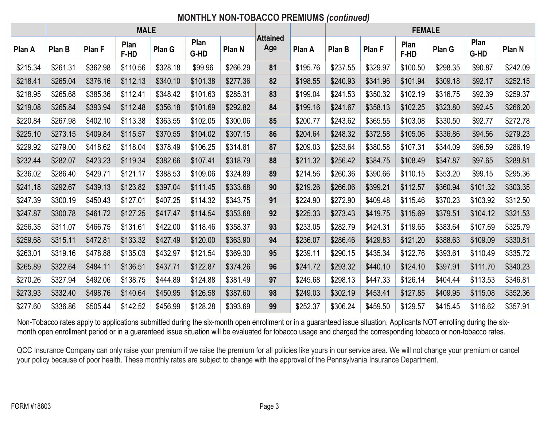# **MONTHLY NON-TOBACCO PREMIUMS** *(continued)*

|          | <b>MALE</b> |          |              |          |              |          |                        |          |          | <b>FEMALE</b> |              |          |              |          |
|----------|-------------|----------|--------------|----------|--------------|----------|------------------------|----------|----------|---------------|--------------|----------|--------------|----------|
| Plan A   | Plan B      | Plan F   | Plan<br>F-HD | Plan G   | Plan<br>G-HD | Plan N   | <b>Attained</b><br>Age | Plan A   | Plan B   | Plan F        | Plan<br>F-HD | Plan G   | Plan<br>G-HD | Plan N   |
| \$215.34 | \$261.31    | \$362.98 | \$110.56     | \$328.18 | \$99.96      | \$266.29 | 81                     | \$195.76 | \$237.55 | \$329.97      | \$100.50     | \$298.35 | \$90.87      | \$242.09 |
| \$218.41 | \$265.04    | \$376.16 | \$112.13     | \$340.10 | \$101.38     | \$277.36 | 82                     | \$198.55 | \$240.93 | \$341.96      | \$101.94     | \$309.18 | \$92.17      | \$252.15 |
| \$218.95 | \$265.68    | \$385.36 | \$112.41     | \$348.42 | \$101.63     | \$285.31 | 83                     | \$199.04 | \$241.53 | \$350.32      | \$102.19     | \$316.75 | \$92.39      | \$259.37 |
| \$219.08 | \$265.84    | \$393.94 | \$112.48     | \$356.18 | \$101.69     | \$292.82 | 84                     | \$199.16 | \$241.67 | \$358.13      | \$102.25     | \$323.80 | \$92.45      | \$266.20 |
| \$220.84 | \$267.98    | \$402.10 | \$113.38     | \$363.55 | \$102.05     | \$300.06 | 85                     | \$200.77 | \$243.62 | \$365.55      | \$103.08     | \$330.50 | \$92.77      | \$272.78 |
| \$225.10 | \$273.15    | \$409.84 | \$115.57     | \$370.55 | \$104.02     | \$307.15 | 86                     | \$204.64 | \$248.32 | \$372.58      | \$105.06     | \$336.86 | \$94.56      | \$279.23 |
| \$229.92 | \$279.00    | \$418.62 | \$118.04     | \$378.49 | \$106.25     | \$314.81 | 87                     | \$209.03 | \$253.64 | \$380.58      | \$107.31     | \$344.09 | \$96.59      | \$286.19 |
| \$232.44 | \$282.07    | \$423.23 | \$119.34     | \$382.66 | \$107.41     | \$318.79 | 88                     | \$211.32 | \$256.42 | \$384.75      | \$108.49     | \$347.87 | \$97.65      | \$289.81 |
| \$236.02 | \$286.40    | \$429.71 | \$121.17     | \$388.53 | \$109.06     | \$324.89 | 89                     | \$214.56 | \$260.36 | \$390.66      | \$110.15     | \$353.20 | \$99.15      | \$295.36 |
| \$241.18 | \$292.67    | \$439.13 | \$123.82     | \$397.04 | \$111.45     | \$333.68 | 90                     | \$219.26 | \$266.06 | \$399.21      | \$112.57     | \$360.94 | \$101.32     | \$303.35 |
| \$247.39 | \$300.19    | \$450.43 | \$127.01     | \$407.25 | \$114.32     | \$343.75 | 91                     | \$224.90 | \$272.90 | \$409.48      | \$115.46     | \$370.23 | \$103.92     | \$312.50 |
| \$247.87 | \$300.78    | \$461.72 | \$127.25     | \$417.47 | \$114.54     | \$353.68 | 92                     | \$225.33 | \$273.43 | \$419.75      | \$115.69     | \$379.51 | \$104.12     | \$321.53 |
| \$256.35 | \$311.07    | \$466.75 | \$131.61     | \$422.00 | \$118.46     | \$358.37 | 93                     | \$233.05 | \$282.79 | \$424.31      | \$119.65     | \$383.64 | \$107.69     | \$325.79 |
| \$259.68 | \$315.11    | \$472.81 | \$133.32     | \$427.49 | \$120.00     | \$363.90 | 94                     | \$236.07 | \$286.46 | \$429.83      | \$121.20     | \$388.63 | \$109.09     | \$330.81 |
| \$263.01 | \$319.16    | \$478.88 | \$135.03     | \$432.97 | \$121.54     | \$369.30 | 95                     | \$239.11 | \$290.15 | \$435.34      | \$122.76     | \$393.61 | \$110.49     | \$335.72 |
| \$265.89 | \$322.64    | \$484.11 | \$136.51     | \$437.71 | \$122.87     | \$374.26 | 96                     | \$241.72 | \$293.32 | \$440.10      | \$124.10     | \$397.91 | \$111.70     | \$340.23 |
| \$270.26 | \$327.94    | \$492.06 | \$138.75     | \$444.89 | \$124.88     | \$381.49 | 97                     | \$245.68 | \$298.13 | \$447.33      | \$126.14     | \$404.44 | \$113.53     | \$346.81 |
| \$273.93 | \$332.40    | \$498.76 | \$140.64     | \$450.95 | \$126.58     | \$387.60 | 98                     | \$249.03 | \$302.19 | \$453.41      | \$127.85     | \$409.95 | \$115.08     | \$352.36 |
| \$277.60 | \$336.86    | \$505.44 | \$142.52     | \$456.99 | \$128.28     | \$393.69 | 99                     | \$252.37 | \$306.24 | \$459.50      | \$129.57     | \$415.45 | \$116.62     | \$357.91 |

Non-Tobacco rates apply to applications submitted during the six-month open enrollment or in a guaranteed issue situation. Applicants NOT enrolling during the sixmonth open enrollment period or in a guaranteed issue situation will be evaluated for tobacco usage and charged the corresponding tobacco or non-tobacco rates.

QCC Insurance Company can only raise your premium if we raise the premium for all policies like yours in our service area. We will not change your premium or cancel your policy because of poor health. These monthly rates are subject to change with the approval of the Pennsylvania Insurance Department.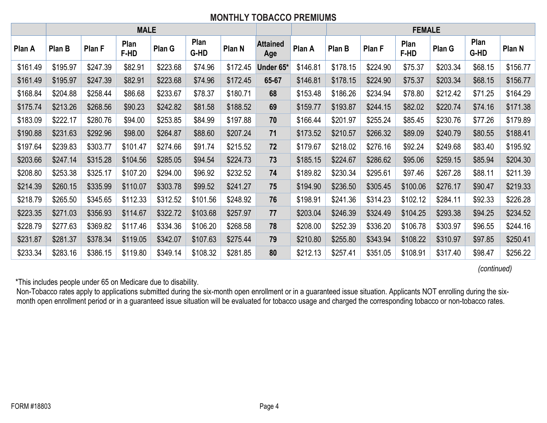# **MONTHLY TOBACCO PREMIUMS**

|          | <b>MALE</b> |          |              |          |              |          | <b>FEMALE</b>          |          |          |          |              |          |              |          |
|----------|-------------|----------|--------------|----------|--------------|----------|------------------------|----------|----------|----------|--------------|----------|--------------|----------|
| Plan A   | Plan B      | Plan F   | Plan<br>F-HD | Plan G   | Plan<br>G-HD | Plan N   | <b>Attained</b><br>Age | Plan A   | Plan B   | Plan F   | Plan<br>F-HD | Plan G   | Plan<br>G-HD | Plan N   |
| \$161.49 | \$195.97    | \$247.39 | \$82.91      | \$223.68 | \$74.96      | \$172.45 | Under 65*              | \$146.81 | \$178.15 | \$224.90 | \$75.37      | \$203.34 | \$68.15      | \$156.77 |
| \$161.49 | \$195.97    | \$247.39 | \$82.91      | \$223.68 | \$74.96      | \$172.45 | 65-67                  | \$146.81 | \$178.15 | \$224.90 | \$75.37      | \$203.34 | \$68.15      | \$156.77 |
| \$168.84 | \$204.88    | \$258.44 | \$86.68      | \$233.67 | \$78.37      | \$180.71 | 68                     | \$153.48 | \$186.26 | \$234.94 | \$78.80      | \$212.42 | \$71.25      | \$164.29 |
| \$175.74 | \$213.26    | \$268.56 | \$90.23      | \$242.82 | \$81.58      | \$188.52 | 69                     | \$159.77 | \$193.87 | \$244.15 | \$82.02      | \$220.74 | \$74.16      | \$171.38 |
| \$183.09 | \$222.17    | \$280.76 | \$94.00      | \$253.85 | \$84.99      | \$197.88 | 70                     | \$166.44 | \$201.97 | \$255.24 | \$85.45      | \$230.76 | \$77.26      | \$179.89 |
| \$190.88 | \$231.63    | \$292.96 | \$98.00      | \$264.87 | \$88.60      | \$207.24 | 71                     | \$173.52 | \$210.57 | \$266.32 | \$89.09      | \$240.79 | \$80.55      | \$188.41 |
| \$197.64 | \$239.83    | \$303.77 | \$101.47     | \$274.66 | \$91.74      | \$215.52 | 72                     | \$179.67 | \$218.02 | \$276.16 | \$92.24      | \$249.68 | \$83.40      | \$195.92 |
| \$203.66 | \$247.14    | \$315.28 | \$104.56     | \$285.05 | \$94.54      | \$224.73 | 73                     | \$185.15 | \$224.67 | \$286.62 | \$95.06      | \$259.15 | \$85.94      | \$204.30 |
| \$208.80 | \$253.38    | \$325.17 | \$107.20     | \$294.00 | \$96.92      | \$232.52 | 74                     | \$189.82 | \$230.34 | \$295.61 | \$97.46      | \$267.28 | \$88.11      | \$211.39 |
| \$214.39 | \$260.15    | \$335.99 | \$110.07     | \$303.78 | \$99.52      | \$241.27 | 75                     | \$194.90 | \$236.50 | \$305.45 | \$100.06     | \$276.17 | \$90.47      | \$219.33 |
| \$218.79 | \$265.50    | \$345.65 | \$112.33     | \$312.52 | \$101.56     | \$248.92 | 76                     | \$198.91 | \$241.36 | \$314.23 | \$102.12     | \$284.11 | \$92.33      | \$226.28 |
| \$223.35 | \$271.03    | \$356.93 | \$114.67     | \$322.72 | \$103.68     | \$257.97 | 77                     | \$203.04 | \$246.39 | \$324.49 | \$104.25     | \$293.38 | \$94.25      | \$234.52 |
| \$228.79 | \$277.63    | \$369.82 | \$117.46     | \$334.36 | \$106.20     | \$268.58 | 78                     | \$208.00 | \$252.39 | \$336.20 | \$106.78     | \$303.97 | \$96.55      | \$244.16 |
| \$231.87 | \$281.37    | \$378.34 | \$119.05     | \$342.07 | \$107.63     | \$275.44 | 79                     | \$210.80 | \$255.80 | \$343.94 | \$108.22     | \$310.97 | \$97.85      | \$250.41 |
| \$233.34 | \$283.16    | \$386.15 | \$119.80     | \$349.14 | \$108.32     | \$281.85 | 80                     | \$212.13 | \$257.41 | \$351.05 | \$108.91     | \$317.40 | \$98.47      | \$256.22 |

*(continued)*

\*This includes people under 65 on Medicare due to disability.

Non-Tobacco rates apply to applications submitted during the six-month open enrollment or in a guaranteed issue situation. Applicants NOT enrolling during the sixmonth open enrollment period or in a guaranteed issue situation will be evaluated for tobacco usage and charged the corresponding tobacco or non-tobacco rates.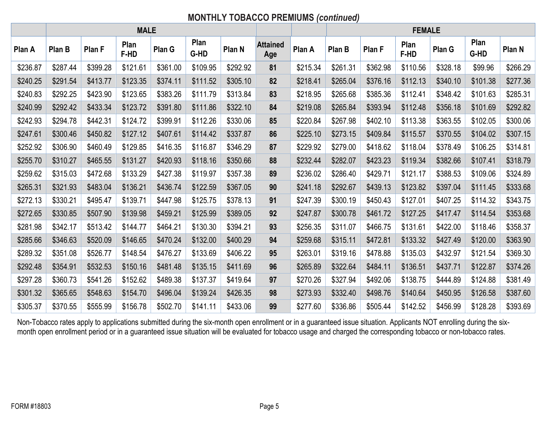# **MONTHLY TOBACCO PREMIUMS** *(continued)*

|          | <b>MALE</b> |          |              |          |              |          | <b>FEMALE</b>          |          |          |          |              |          |              |          |
|----------|-------------|----------|--------------|----------|--------------|----------|------------------------|----------|----------|----------|--------------|----------|--------------|----------|
| Plan A   | Plan B      | Plan F   | Plan<br>F-HD | Plan G   | Plan<br>G-HD | Plan N   | <b>Attained</b><br>Age | Plan A   | Plan B   | Plan F   | Plan<br>F-HD | Plan G   | Plan<br>G-HD | Plan N   |
| \$236.87 | \$287.44    | \$399.28 | \$121.61     | \$361.00 | \$109.95     | \$292.92 | 81                     | \$215.34 | \$261.31 | \$362.98 | \$110.56     | \$328.18 | \$99.96      | \$266.29 |
| \$240.25 | \$291.54    | \$413.77 | \$123.35     | \$374.11 | \$111.52     | \$305.10 | 82                     | \$218.41 | \$265.04 | \$376.16 | \$112.13     | \$340.10 | \$101.38     | \$277.36 |
| \$240.83 | \$292.25    | \$423.90 | \$123.65     | \$383.26 | \$111.79     | \$313.84 | 83                     | \$218.95 | \$265.68 | \$385.36 | \$112.41     | \$348.42 | \$101.63     | \$285.31 |
| \$240.99 | \$292.42    | \$433.34 | \$123.72     | \$391.80 | \$111.86     | \$322.10 | 84                     | \$219.08 | \$265.84 | \$393.94 | \$112.48     | \$356.18 | \$101.69     | \$292.82 |
| \$242.93 | \$294.78    | \$442.31 | \$124.72     | \$399.91 | \$112.26     | \$330.06 | 85                     | \$220.84 | \$267.98 | \$402.10 | \$113.38     | \$363.55 | \$102.05     | \$300.06 |
| \$247.61 | \$300.46    | \$450.82 | \$127.12     | \$407.61 | \$114.42     | \$337.87 | 86                     | \$225.10 | \$273.15 | \$409.84 | \$115.57     | \$370.55 | \$104.02     | \$307.15 |
| \$252.92 | \$306.90    | \$460.49 | \$129.85     | \$416.35 | \$116.87     | \$346.29 | 87                     | \$229.92 | \$279.00 | \$418.62 | \$118.04     | \$378.49 | \$106.25     | \$314.81 |
| \$255.70 | \$310.27    | \$465.55 | \$131.27     | \$420.93 | \$118.16     | \$350.66 | 88                     | \$232.44 | \$282.07 | \$423.23 | \$119.34     | \$382.66 | \$107.41     | \$318.79 |
| \$259.62 | \$315.03    | \$472.68 | \$133.29     | \$427.38 | \$119.97     | \$357.38 | 89                     | \$236.02 | \$286.40 | \$429.71 | \$121.17     | \$388.53 | \$109.06     | \$324.89 |
| \$265.31 | \$321.93    | \$483.04 | \$136.21     | \$436.74 | \$122.59     | \$367.05 | 90                     | \$241.18 | \$292.67 | \$439.13 | \$123.82     | \$397.04 | \$111.45     | \$333.68 |
| \$272.13 | \$330.21    | \$495.47 | \$139.71     | \$447.98 | \$125.75     | \$378.13 | 91                     | \$247.39 | \$300.19 | \$450.43 | \$127.01     | \$407.25 | \$114.32     | \$343.75 |
| \$272.65 | \$330.85    | \$507.90 | \$139.98     | \$459.21 | \$125.99     | \$389.05 | 92                     | \$247.87 | \$300.78 | \$461.72 | \$127.25     | \$417.47 | \$114.54     | \$353.68 |
| \$281.98 | \$342.17    | \$513.42 | \$144.77     | \$464.21 | \$130.30     | \$394.21 | 93                     | \$256.35 | \$311.07 | \$466.75 | \$131.61     | \$422.00 | \$118.46     | \$358.37 |
| \$285.66 | \$346.63    | \$520.09 | \$146.65     | \$470.24 | \$132.00     | \$400.29 | 94                     | \$259.68 | \$315.11 | \$472.81 | \$133.32     | \$427.49 | \$120.00     | \$363.90 |
| \$289.32 | \$351.08    | \$526.77 | \$148.54     | \$476.27 | \$133.69     | \$406.22 | 95                     | \$263.01 | \$319.16 | \$478.88 | \$135.03     | \$432.97 | \$121.54     | \$369.30 |
| \$292.48 | \$354.91    | \$532.53 | \$150.16     | \$481.48 | \$135.15     | \$411.69 | 96                     | \$265.89 | \$322.64 | \$484.11 | \$136.51     | \$437.71 | \$122.87     | \$374.26 |
| \$297.28 | \$360.73    | \$541.26 | \$152.62     | \$489.38 | \$137.37     | \$419.64 | 97                     | \$270.26 | \$327.94 | \$492.06 | \$138.75     | \$444.89 | \$124.88     | \$381.49 |
| \$301.32 | \$365.65    | \$548.63 | \$154.70     | \$496.04 | \$139.24     | \$426.35 | 98                     | \$273.93 | \$332.40 | \$498.76 | \$140.64     | \$450.95 | \$126.58     | \$387.60 |
| \$305.37 | \$370.55    | \$555.99 | \$156.78     | \$502.70 | \$141.11     | \$433.06 | 99                     | \$277.60 | \$336.86 | \$505.44 | \$142.52     | \$456.99 | \$128.28     | \$393.69 |

Non-Tobacco rates apply to applications submitted during the six-month open enrollment or in a guaranteed issue situation. Applicants NOT enrolling during the sixmonth open enrollment period or in a guaranteed issue situation will be evaluated for tobacco usage and charged the corresponding tobacco or non-tobacco rates.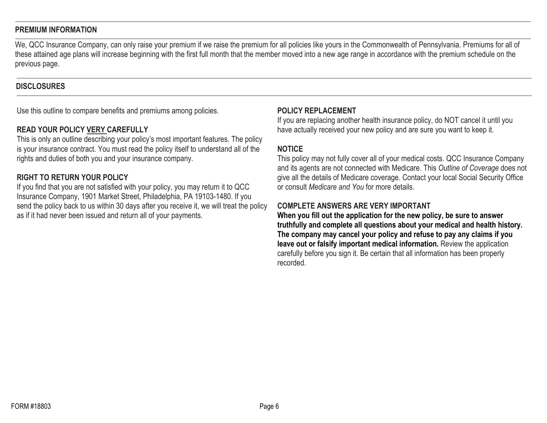#### **PREMIUM INFORMATION**

We, QCC Insurance Company, can only raise your premium if we raise the premium for all policies like yours in the Commonwealth of Pennsylvania. Premiums for all of these attained age plans will increase beginning with the first full month that the member moved into a new age range in accordance with the premium schedule on the previous page.

#### **DISCLOSURES**

Use this outline to compare benefits and premiums among policies.

## **READ YOUR POLICY VERY CAREFULLY**

This is only an outline describing your policy's most important features. The policy is your insurance contract. You must read the policy itself to understand all of the rights and duties of both you and your insurance company.

## **RIGHT TO RETURN YOUR POLICY**

If you find that you are not satisfied with your policy, you may return it to QCC Insurance Company, 1901 Market Street, Philadelphia, PA 19103-1480. If you send the policy back to us within 30 days after you receive it, we will treat the policy as if it had never been issued and return all of your payments.

## **POLICY REPLACEMENT**

If you are replacing another health insurance policy, do NOT cancel it until you have actually received your new policy and are sure you want to keep it.

#### **NOTICE**

This policy may not fully cover all of your medical costs. QCC Insurance Company and its agents are not connected with Medicare. This *Outline of Coverage* does not give all the details of Medicare coverage. Contact your local Social Security Office or consult *Medicare and You* for more details.

## **COMPLETE ANSWERS ARE VERY IMPORTANT**

**When you fill out the application for the new policy, be sure to answer truthfully and complete all questions about your medical and health history. The company may cancel your policy and refuse to pay any claims if you leave out or falsify important medical information.** Review the application carefully before you sign it. Be certain that all information has been properly recorded.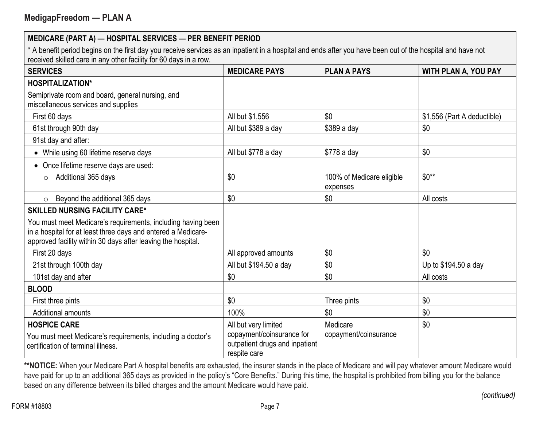\* A benefit period begins on the first day you receive services as an inpatient in a hospital and ends after you have been out of the hospital and have not received skilled care in any other facility for 60 days in a row.

| <b>SERVICES</b>                                                                                                                                                                               | <b>MEDICARE PAYS</b>                                                                                | <b>PLAN A PAYS</b>                    | <b>WITH PLAN A, YOU PAY</b> |
|-----------------------------------------------------------------------------------------------------------------------------------------------------------------------------------------------|-----------------------------------------------------------------------------------------------------|---------------------------------------|-----------------------------|
| <b>HOSPITALIZATION*</b>                                                                                                                                                                       |                                                                                                     |                                       |                             |
| Semiprivate room and board, general nursing, and<br>miscellaneous services and supplies                                                                                                       |                                                                                                     |                                       |                             |
| First 60 days                                                                                                                                                                                 | All but \$1,556                                                                                     | \$0                                   | \$1,556 (Part A deductible) |
| 61st through 90th day                                                                                                                                                                         | All but \$389 a day                                                                                 | $$389a$ day                           | \$0                         |
| 91st day and after:                                                                                                                                                                           |                                                                                                     |                                       |                             |
| While using 60 lifetime reserve days                                                                                                                                                          | All but \$778 a day                                                                                 | $$778a$ day                           | \$0                         |
| Once lifetime reserve days are used:                                                                                                                                                          |                                                                                                     |                                       |                             |
| Additional 365 days<br>$\circ$                                                                                                                                                                | \$0                                                                                                 | 100% of Medicare eligible<br>expenses | $$0**$                      |
| Beyond the additional 365 days<br>$\circ$                                                                                                                                                     | \$0                                                                                                 | \$0                                   | All costs                   |
| <b>SKILLED NURSING FACILITY CARE*</b>                                                                                                                                                         |                                                                                                     |                                       |                             |
| You must meet Medicare's requirements, including having been<br>in a hospital for at least three days and entered a Medicare-<br>approved facility within 30 days after leaving the hospital. |                                                                                                     |                                       |                             |
| First 20 days                                                                                                                                                                                 | All approved amounts                                                                                | \$0                                   | \$0                         |
| 21st through 100th day                                                                                                                                                                        | All but \$194.50 a day                                                                              | \$0                                   | Up to \$194.50 a day        |
| 101st day and after                                                                                                                                                                           | \$0                                                                                                 | \$0                                   | All costs                   |
| <b>BLOOD</b>                                                                                                                                                                                  |                                                                                                     |                                       |                             |
| First three pints                                                                                                                                                                             | \$0                                                                                                 | Three pints                           | \$0                         |
| Additional amounts                                                                                                                                                                            | 100%                                                                                                | \$0                                   | \$0                         |
| <b>HOSPICE CARE</b><br>You must meet Medicare's requirements, including a doctor's<br>certification of terminal illness.                                                                      | All but very limited<br>copayment/coinsurance for<br>outpatient drugs and inpatient<br>respite care | Medicare<br>copayment/coinsurance     | \$0                         |

\*\*NOTICE: When your Medicare Part A hospital benefits are exhausted, the insurer stands in the place of Medicare and will pay whatever amount Medicare would have paid for up to an additional 365 days as provided in the policy's "Core Benefits." During this time, the hospital is prohibited from billing you for the balance based on any difference between its billed charges and the amount Medicare would have paid.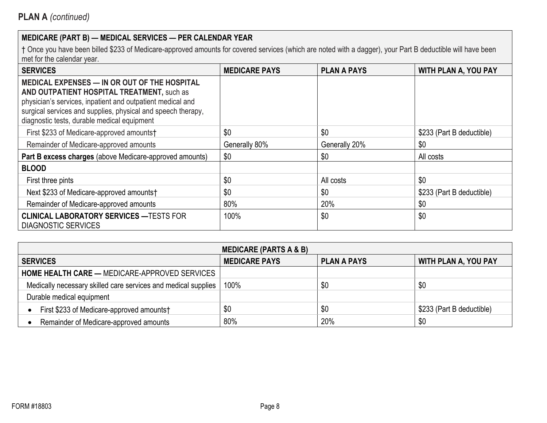| <b>SERVICES</b>                                                                                                                                                                                                                                                         | <b>MEDICARE PAYS</b> | <b>PLAN A PAYS</b> | <b>WITH PLAN A, YOU PAY</b> |
|-------------------------------------------------------------------------------------------------------------------------------------------------------------------------------------------------------------------------------------------------------------------------|----------------------|--------------------|-----------------------------|
| MEDICAL EXPENSES - IN OR OUT OF THE HOSPITAL<br>AND OUTPATIENT HOSPITAL TREATMENT, such as<br>physician's services, inpatient and outpatient medical and<br>surgical services and supplies, physical and speech therapy,<br>diagnostic tests, durable medical equipment |                      |                    |                             |
| First \$233 of Medicare-approved amounts†                                                                                                                                                                                                                               | \$0                  | \$0                | \$233 (Part B deductible)   |
| Remainder of Medicare-approved amounts                                                                                                                                                                                                                                  | Generally 80%        | Generally 20%      | \$0                         |
| Part B excess charges (above Medicare-approved amounts)                                                                                                                                                                                                                 | \$0                  | \$0                | All costs                   |
| <b>BLOOD</b>                                                                                                                                                                                                                                                            |                      |                    |                             |
| First three pints                                                                                                                                                                                                                                                       | \$0                  | All costs          | \$0                         |
| Next \$233 of Medicare-approved amounts†                                                                                                                                                                                                                                | \$0                  | \$0                | \$233 (Part B deductible)   |
| Remainder of Medicare-approved amounts                                                                                                                                                                                                                                  | 80%                  | 20%                | \$0                         |
| <b>CLINICAL LABORATORY SERVICES — TESTS FOR</b><br><b>DIAGNOSTIC SERVICES</b>                                                                                                                                                                                           | 100%                 | \$0                | \$0                         |

| <b>MEDICARE (PARTS A &amp; B)</b>                              |                      |                    |                             |  |  |  |  |
|----------------------------------------------------------------|----------------------|--------------------|-----------------------------|--|--|--|--|
| <b>SERVICES</b>                                                | <b>MEDICARE PAYS</b> | <b>PLAN A PAYS</b> | <b>WITH PLAN A, YOU PAY</b> |  |  |  |  |
| <b>HOME HEALTH CARE — MEDICARE-APPROVED SERVICES</b>           |                      |                    |                             |  |  |  |  |
| Medically necessary skilled care services and medical supplies | 100%                 | \$0                | \$0                         |  |  |  |  |
| Durable medical equipment                                      |                      |                    |                             |  |  |  |  |
| First \$233 of Medicare-approved amounts†                      | \$0                  | \$0                | \$233 (Part B deductible)   |  |  |  |  |
| Remainder of Medicare-approved amounts                         | 80%                  | 20%                | \$0                         |  |  |  |  |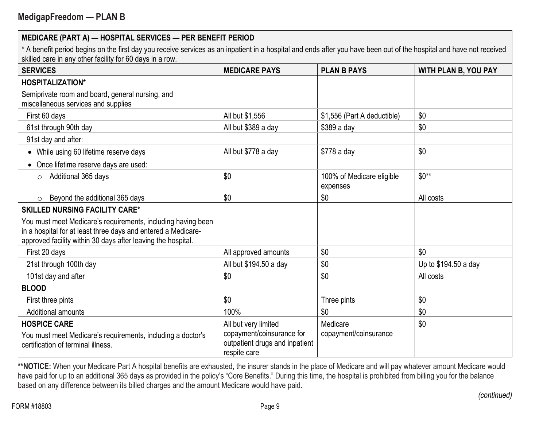\* A benefit period begins on the first day you receive services as an inpatient in a hospital and ends after you have been out of the hospital and have not received skilled care in any other facility for 60 days in a row.

| <b>SERVICES</b>                                                                                                                                                                               | <b>MEDICARE PAYS</b>                                                                                | <b>PLAN B PAYS</b>                    | <b>WITH PLAN B, YOU PAY</b> |
|-----------------------------------------------------------------------------------------------------------------------------------------------------------------------------------------------|-----------------------------------------------------------------------------------------------------|---------------------------------------|-----------------------------|
| <b>HOSPITALIZATION*</b>                                                                                                                                                                       |                                                                                                     |                                       |                             |
| Semiprivate room and board, general nursing, and<br>miscellaneous services and supplies                                                                                                       |                                                                                                     |                                       |                             |
| First 60 days                                                                                                                                                                                 | All but \$1,556                                                                                     | \$1,556 (Part A deductible)           | \$0                         |
| 61st through 90th day                                                                                                                                                                         | All but \$389 a day                                                                                 | $$389a$ day                           | \$0                         |
| 91st day and after:                                                                                                                                                                           |                                                                                                     |                                       |                             |
| While using 60 lifetime reserve days                                                                                                                                                          | All but \$778 a day                                                                                 | \$778 a day                           | \$0                         |
| Once lifetime reserve days are used:                                                                                                                                                          |                                                                                                     |                                       |                             |
| Additional 365 days<br>$\circ$                                                                                                                                                                | \$0                                                                                                 | 100% of Medicare eligible<br>expenses | $$0**$                      |
| Beyond the additional 365 days<br>$\circ$                                                                                                                                                     | \$0                                                                                                 | \$0                                   | All costs                   |
| <b>SKILLED NURSING FACILITY CARE*</b>                                                                                                                                                         |                                                                                                     |                                       |                             |
| You must meet Medicare's requirements, including having been<br>in a hospital for at least three days and entered a Medicare-<br>approved facility within 30 days after leaving the hospital. |                                                                                                     |                                       |                             |
| First 20 days                                                                                                                                                                                 | All approved amounts                                                                                | \$0                                   | \$0                         |
| 21st through 100th day                                                                                                                                                                        | All but \$194.50 a day                                                                              | \$0                                   | Up to \$194.50 a day        |
| 101st day and after                                                                                                                                                                           | \$0                                                                                                 | \$0                                   | All costs                   |
| <b>BLOOD</b>                                                                                                                                                                                  |                                                                                                     |                                       |                             |
| First three pints                                                                                                                                                                             | \$0                                                                                                 | Three pints                           | \$0                         |
| <b>Additional amounts</b>                                                                                                                                                                     | 100%                                                                                                | \$0                                   | \$0                         |
| <b>HOSPICE CARE</b><br>You must meet Medicare's requirements, including a doctor's<br>certification of terminal illness.                                                                      | All but very limited<br>copayment/coinsurance for<br>outpatient drugs and inpatient<br>respite care | Medicare<br>copayment/coinsurance     | \$0                         |

\*\*NOTICE: When your Medicare Part A hospital benefits are exhausted, the insurer stands in the place of Medicare and will pay whatever amount Medicare would have paid for up to an additional 365 days as provided in the policy's "Core Benefits." During this time, the hospital is prohibited from billing you for the balance based on any difference between its billed charges and the amount Medicare would have paid.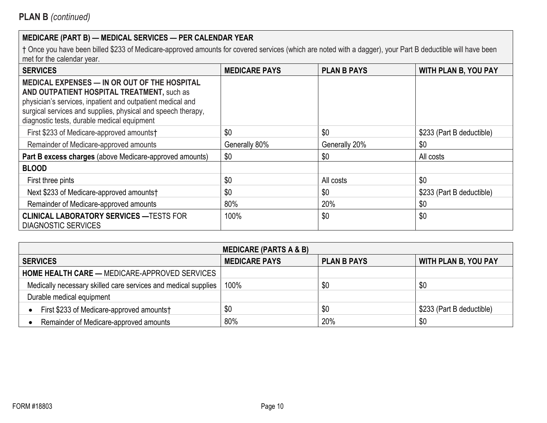| <b>SERVICES</b>                                                                                                                                                                                                                                                         | <b>MEDICARE PAYS</b> | <b>PLAN B PAYS</b> | <b>WITH PLAN B, YOU PAY</b> |
|-------------------------------------------------------------------------------------------------------------------------------------------------------------------------------------------------------------------------------------------------------------------------|----------------------|--------------------|-----------------------------|
| MEDICAL EXPENSES - IN OR OUT OF THE HOSPITAL<br>AND OUTPATIENT HOSPITAL TREATMENT, such as<br>physician's services, inpatient and outpatient medical and<br>surgical services and supplies, physical and speech therapy,<br>diagnostic tests, durable medical equipment |                      |                    |                             |
| First \$233 of Medicare-approved amounts†                                                                                                                                                                                                                               | \$0                  | \$0                | \$233 (Part B deductible)   |
| Remainder of Medicare-approved amounts                                                                                                                                                                                                                                  | Generally 80%        | Generally 20%      | \$0                         |
| Part B excess charges (above Medicare-approved amounts)                                                                                                                                                                                                                 | \$0                  | \$0                | All costs                   |
| <b>BLOOD</b>                                                                                                                                                                                                                                                            |                      |                    |                             |
| First three pints                                                                                                                                                                                                                                                       | \$0                  | All costs          | \$0                         |
| Next \$233 of Medicare-approved amounts†                                                                                                                                                                                                                                | \$0                  | \$0                | \$233 (Part B deductible)   |
| Remainder of Medicare-approved amounts                                                                                                                                                                                                                                  | 80%                  | 20%                | \$0                         |
| <b>CLINICAL LABORATORY SERVICES — TESTS FOR</b><br><b>DIAGNOSTIC SERVICES</b>                                                                                                                                                                                           | 100%                 | \$0                | \$0                         |

|                                                                | <b>MEDICARE (PARTS A &amp; B)</b> |                    |                             |
|----------------------------------------------------------------|-----------------------------------|--------------------|-----------------------------|
| <b>SERVICES</b>                                                | <b>MEDICARE PAYS</b>              | <b>PLAN B PAYS</b> | <b>WITH PLAN B, YOU PAY</b> |
| <b>HOME HEALTH CARE — MEDICARE-APPROVED SERVICES</b>           |                                   |                    |                             |
| Medically necessary skilled care services and medical supplies | 100%                              | \$0                | \$0                         |
| Durable medical equipment                                      |                                   |                    |                             |
| First \$233 of Medicare-approved amounts†                      | \$0                               | \$0                | \$233 (Part B deductible)   |
| Remainder of Medicare-approved amounts                         | 80%                               | 20%                | \$0                         |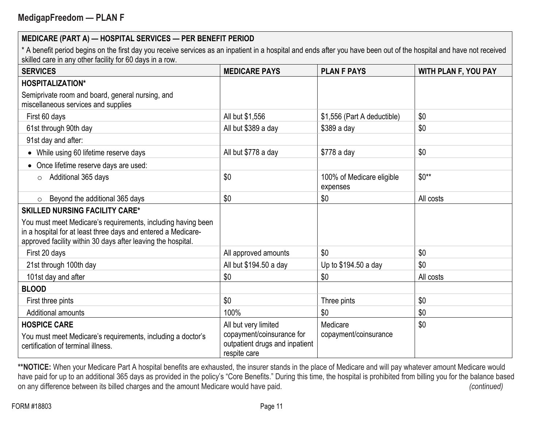\* A benefit period begins on the first day you receive services as an inpatient in a hospital and ends after you have been out of the hospital and have not received skilled care in any other facility for 60 days in a row.

| <b>SERVICES</b>                                                                                                                                                                               | <b>MEDICARE PAYS</b>                                                                                | <b>PLAN F PAYS</b>                    | <b>WITH PLAN F, YOU PAY</b> |
|-----------------------------------------------------------------------------------------------------------------------------------------------------------------------------------------------|-----------------------------------------------------------------------------------------------------|---------------------------------------|-----------------------------|
| <b>HOSPITALIZATION*</b>                                                                                                                                                                       |                                                                                                     |                                       |                             |
| Semiprivate room and board, general nursing, and<br>miscellaneous services and supplies                                                                                                       |                                                                                                     |                                       |                             |
| First 60 days                                                                                                                                                                                 | All but \$1,556                                                                                     | \$1,556 (Part A deductible)           | \$0                         |
| 61st through 90th day                                                                                                                                                                         | All but \$389 a day                                                                                 | \$389 a day                           | \$0                         |
| 91st day and after:                                                                                                                                                                           |                                                                                                     |                                       |                             |
| While using 60 lifetime reserve days                                                                                                                                                          | All but \$778 a day                                                                                 | \$778 a day                           | \$0                         |
| Once lifetime reserve days are used:                                                                                                                                                          |                                                                                                     |                                       |                             |
| Additional 365 days<br>$\circ$                                                                                                                                                                | \$0                                                                                                 | 100% of Medicare eligible<br>expenses | $$0**$                      |
| Beyond the additional 365 days<br>$\circ$                                                                                                                                                     | \$0                                                                                                 | \$0                                   | All costs                   |
| <b>SKILLED NURSING FACILITY CARE*</b>                                                                                                                                                         |                                                                                                     |                                       |                             |
| You must meet Medicare's requirements, including having been<br>in a hospital for at least three days and entered a Medicare-<br>approved facility within 30 days after leaving the hospital. |                                                                                                     |                                       |                             |
| First 20 days                                                                                                                                                                                 | All approved amounts                                                                                | \$0                                   | \$0                         |
| 21st through 100th day                                                                                                                                                                        | All but \$194.50 a day                                                                              | Up to \$194.50 a day                  | \$0                         |
| 101st day and after                                                                                                                                                                           | \$0                                                                                                 | \$0                                   | All costs                   |
| <b>BLOOD</b>                                                                                                                                                                                  |                                                                                                     |                                       |                             |
| First three pints                                                                                                                                                                             | \$0                                                                                                 | Three pints                           | \$0                         |
| <b>Additional amounts</b>                                                                                                                                                                     | 100%                                                                                                | \$0                                   | \$0                         |
| <b>HOSPICE CARE</b><br>You must meet Medicare's requirements, including a doctor's<br>certification of terminal illness.                                                                      | All but very limited<br>copayment/coinsurance for<br>outpatient drugs and inpatient<br>respite care | Medicare<br>copayment/coinsurance     | \$0                         |

\*\*NOTICE: When your Medicare Part A hospital benefits are exhausted, the insurer stands in the place of Medicare and will pay whatever amount Medicare would have paid for up to an additional 365 days as provided in the policy's "Core Benefits." During this time, the hospital is prohibited from billing you for the balance based on any difference between its billed charges and the amount Medicare would have paid. *(continued)*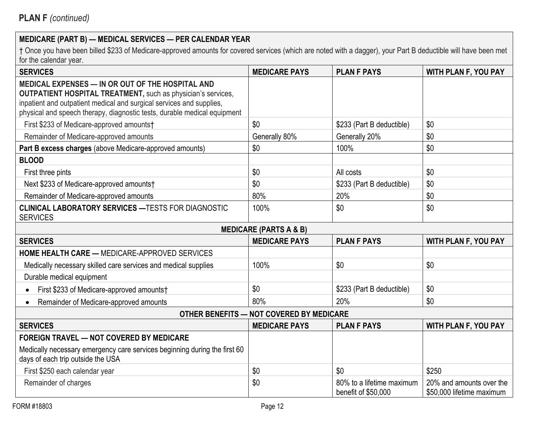| <b>SERVICES</b>                                                                                                                                                                                                                                                             | <b>MEDICARE PAYS</b>                     | <b>PLAN F PAYS</b>                               | WITH PLAN F, YOU PAY                                  |
|-----------------------------------------------------------------------------------------------------------------------------------------------------------------------------------------------------------------------------------------------------------------------------|------------------------------------------|--------------------------------------------------|-------------------------------------------------------|
| MEDICAL EXPENSES - IN OR OUT OF THE HOSPITAL AND<br><b>OUTPATIENT HOSPITAL TREATMENT, such as physician's services,</b><br>inpatient and outpatient medical and surgical services and supplies,<br>physical and speech therapy, diagnostic tests, durable medical equipment |                                          |                                                  |                                                       |
| First \$233 of Medicare-approved amounts†                                                                                                                                                                                                                                   | \$0                                      | \$233 (Part B deductible)                        | \$0                                                   |
| Remainder of Medicare-approved amounts                                                                                                                                                                                                                                      | Generally 80%                            | Generally 20%                                    | \$0                                                   |
| Part B excess charges (above Medicare-approved amounts)                                                                                                                                                                                                                     | \$0                                      | 100%                                             | \$0                                                   |
| <b>BLOOD</b>                                                                                                                                                                                                                                                                |                                          |                                                  |                                                       |
| First three pints                                                                                                                                                                                                                                                           | \$0                                      | All costs                                        | \$0                                                   |
| Next \$233 of Medicare-approved amountst                                                                                                                                                                                                                                    | \$0                                      | \$233 (Part B deductible)                        | \$0                                                   |
| Remainder of Medicare-approved amounts                                                                                                                                                                                                                                      | 80%                                      | 20%                                              | \$0                                                   |
| <b>CLINICAL LABORATORY SERVICES - TESTS FOR DIAGNOSTIC</b><br><b>SERVICES</b>                                                                                                                                                                                               | 100%                                     | \$0                                              | \$0                                                   |
|                                                                                                                                                                                                                                                                             | <b>MEDICARE (PARTS A &amp; B)</b>        |                                                  |                                                       |
| <b>SERVICES</b>                                                                                                                                                                                                                                                             | <b>MEDICARE PAYS</b>                     | <b>PLAN F PAYS</b>                               | WITH PLAN F, YOU PAY                                  |
| <b>HOME HEALTH CARE - MEDICARE-APPROVED SERVICES</b>                                                                                                                                                                                                                        |                                          |                                                  |                                                       |
| Medically necessary skilled care services and medical supplies                                                                                                                                                                                                              | 100%                                     | \$0                                              | \$0                                                   |
| Durable medical equipment                                                                                                                                                                                                                                                   |                                          |                                                  |                                                       |
| First \$233 of Medicare-approved amounts†                                                                                                                                                                                                                                   | \$0                                      | \$233 (Part B deductible)                        | \$0                                                   |
| Remainder of Medicare-approved amounts<br>$\bullet$                                                                                                                                                                                                                         | 80%                                      | 20%                                              | \$0                                                   |
|                                                                                                                                                                                                                                                                             | OTHER BENEFITS - NOT COVERED BY MEDICARE |                                                  |                                                       |
| <b>SERVICES</b>                                                                                                                                                                                                                                                             | <b>MEDICARE PAYS</b>                     | <b>PLAN F PAYS</b>                               | <b>WITH PLAN F, YOU PAY</b>                           |
| <b>FOREIGN TRAVEL - NOT COVERED BY MEDICARE</b>                                                                                                                                                                                                                             |                                          |                                                  |                                                       |
| Medically necessary emergency care services beginning during the first 60<br>days of each trip outside the USA                                                                                                                                                              |                                          |                                                  |                                                       |
| First \$250 each calendar year                                                                                                                                                                                                                                              | \$0                                      | \$0                                              | \$250                                                 |
| Remainder of charges                                                                                                                                                                                                                                                        | \$0                                      | 80% to a lifetime maximum<br>benefit of \$50,000 | 20% and amounts over the<br>\$50,000 lifetime maximum |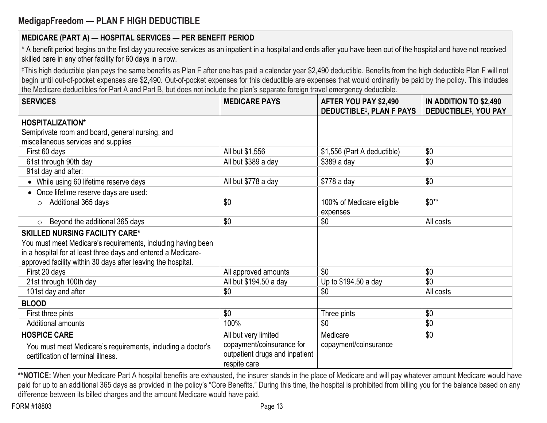# **MedigapFreedom — PLAN F HIGH DEDUCTIBLE**

## **MEDICARE (PART A) — HOSPITAL SERVICES — PER BENEFIT PERIOD**

\* A benefit period begins on the first day you receive services as an inpatient in a hospital and ends after you have been out of the hospital and have not received skilled care in any other facility for 60 days in a row.

‡This high deductible plan pays the same benefits as Plan F after one has paid a calendar year \$2,490 deductible. Benefits from the high deductible Plan F will not begin until out-of-pocket expenses are \$2,490. Out-of-pocket expenses for this deductible are expenses that would ordinarily be paid by the policy. This includes the Medicare deductibles for Part A and Part B, but does not include the plan's separate foreign travel emergency deductible.

| <b>SERVICES</b>                                                                                   | <b>MEDICARE PAYS</b>                                                        | AFTER YOU PAY \$2,490<br><b>DEDUCTIBLE#, PLAN F PAYS</b> | IN ADDITION TO \$2,490<br><b>DEDUCTIBLE#, YOU PAY</b> |
|---------------------------------------------------------------------------------------------------|-----------------------------------------------------------------------------|----------------------------------------------------------|-------------------------------------------------------|
| <b>HOSPITALIZATION*</b>                                                                           |                                                                             |                                                          |                                                       |
| Semiprivate room and board, general nursing, and                                                  |                                                                             |                                                          |                                                       |
| miscellaneous services and supplies                                                               |                                                                             |                                                          |                                                       |
| First 60 days                                                                                     | All but \$1,556                                                             | \$1,556 (Part A deductible)                              | \$0                                                   |
| 61st through 90th day                                                                             | All but \$389 a day                                                         | \$389 a day                                              | \$0                                                   |
| 91st day and after:                                                                               |                                                                             |                                                          |                                                       |
| • While using 60 lifetime reserve days                                                            | All but \$778 a day                                                         | \$778 a day                                              | \$0                                                   |
| Once lifetime reserve days are used:                                                              |                                                                             |                                                          |                                                       |
| $\circ$ Additional 365 days                                                                       | \$0                                                                         | 100% of Medicare eligible                                | $$0**$                                                |
|                                                                                                   |                                                                             | expenses                                                 |                                                       |
| Beyond the additional 365 days<br>$\circ$                                                         | \$0                                                                         | \$0                                                      | All costs                                             |
| <b>SKILLED NURSING FACILITY CARE*</b>                                                             |                                                                             |                                                          |                                                       |
| You must meet Medicare's requirements, including having been                                      |                                                                             |                                                          |                                                       |
| in a hospital for at least three days and entered a Medicare-                                     |                                                                             |                                                          |                                                       |
| approved facility within 30 days after leaving the hospital.                                      |                                                                             |                                                          |                                                       |
| First 20 days                                                                                     | All approved amounts                                                        | \$0                                                      | \$0                                                   |
| 21st through 100th day                                                                            | All but \$194.50 a day                                                      | Up to \$194.50 a day                                     | \$0                                                   |
| 101st day and after                                                                               | \$0                                                                         | \$0                                                      | All costs                                             |
| <b>BLOOD</b>                                                                                      |                                                                             |                                                          |                                                       |
| First three pints                                                                                 | \$0                                                                         | Three pints                                              | \$0                                                   |
| Additional amounts                                                                                | 100%                                                                        | \$0                                                      | \$0                                                   |
| <b>HOSPICE CARE</b>                                                                               | All but very limited                                                        | Medicare                                                 | \$0                                                   |
| You must meet Medicare's requirements, including a doctor's<br>certification of terminal illness. | copayment/coinsurance for<br>outpatient drugs and inpatient<br>respite care | copayment/coinsurance                                    |                                                       |

\*\*NOTICE: When your Medicare Part A hospital benefits are exhausted, the insurer stands in the place of Medicare and will pay whatever amount Medicare would have paid for up to an additional 365 days as provided in the policy's "Core Benefits." During this time, the hospital is prohibited from billing you for the balance based on any difference between its billed charges and the amount Medicare would have paid.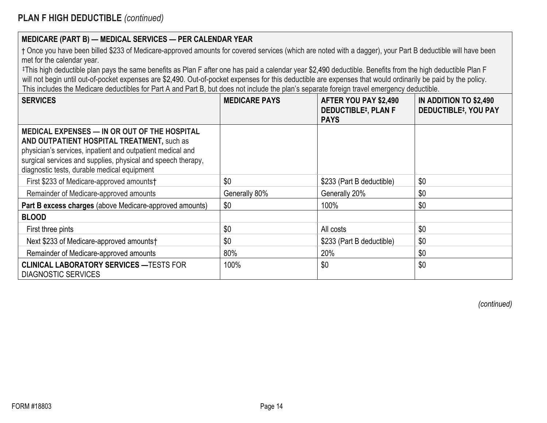| † Once you have been billed \$233 of Medicare-approved amounts for covered services (which are noted with a dagger), your Part B deductible will have been |  |
|------------------------------------------------------------------------------------------------------------------------------------------------------------|--|
| met for the calendar year.                                                                                                                                 |  |

‡This high deductible plan pays the same benefits as Plan F after one has paid a calendar year \$2,490 deductible. Benefits from the high deductible Plan F will not begin until out-of-pocket expenses are \$2,490. Out-of-pocket expenses for this deductible are expenses that would ordinarily be paid by the policy. This includes the Medicare deductibles for Part A and Part B, but does not include the plan's separate foreign travel emergency deductible.

| <b>SERVICES</b>                                                                                                                                                                                                                                                         | <b>MEDICARE PAYS</b> | AFTER YOU PAY \$2,490<br><b>DEDUCTIBLE#, PLAN F</b><br><b>PAYS</b> | IN ADDITION TO \$2,490<br><b>DEDUCTIBLE#, YOU PAY</b> |
|-------------------------------------------------------------------------------------------------------------------------------------------------------------------------------------------------------------------------------------------------------------------------|----------------------|--------------------------------------------------------------------|-------------------------------------------------------|
| MEDICAL EXPENSES - IN OR OUT OF THE HOSPITAL<br>AND OUTPATIENT HOSPITAL TREATMENT, such as<br>physician's services, inpatient and outpatient medical and<br>surgical services and supplies, physical and speech therapy,<br>diagnostic tests, durable medical equipment |                      |                                                                    |                                                       |
| First \$233 of Medicare-approved amounts†                                                                                                                                                                                                                               | \$0                  | \$233 (Part B deductible)                                          | \$0                                                   |
| Remainder of Medicare-approved amounts                                                                                                                                                                                                                                  | Generally 80%        | Generally 20%                                                      | \$0                                                   |
| Part B excess charges (above Medicare-approved amounts)                                                                                                                                                                                                                 | \$0                  | 100%                                                               | \$0                                                   |
| <b>BLOOD</b>                                                                                                                                                                                                                                                            |                      |                                                                    |                                                       |
| First three pints                                                                                                                                                                                                                                                       | \$0                  | All costs                                                          | \$0                                                   |
| Next \$233 of Medicare-approved amounts†                                                                                                                                                                                                                                | \$0                  | \$233 (Part B deductible)                                          | \$0                                                   |
| Remainder of Medicare-approved amounts                                                                                                                                                                                                                                  | 80%                  | 20%                                                                | \$0                                                   |
| <b>CLINICAL LABORATORY SERVICES - TESTS FOR</b><br><b>DIAGNOSTIC SERVICES</b>                                                                                                                                                                                           | 100%                 | \$0                                                                | \$0                                                   |

*(continued)*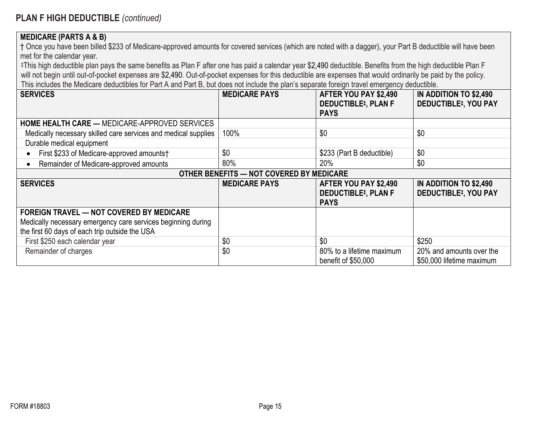## **MEDICARE (PARTS A & B)**

† Once you have been billed \$233 of Medicare-approved amounts for covered services (which are noted with a dagger), your Part B deductible will have been met for the calendar year.

‡This high deductible plan pays the same benefits as Plan F after one has paid a calendar year \$2,490 deductible. Benefits from the high deductible Plan F will not begin until out-of-pocket expenses are \$2,490. Out-of-pocket expenses for this deductible are expenses that would ordinarily be paid by the policy. This includes the Medicare deductibles for Part A and Part B, but does not include the plan's separate foreign travel emergency deductible.

| <b>SERVICES</b>                                                | <b>MEDICARE PAYS</b>                     | AFTER YOU PAY \$2,490<br><b>DEDUCTIBLE#, PLAN F</b> | IN ADDITION TO \$2,490<br><b>DEDUCTIBLE#, YOU PAY</b> |
|----------------------------------------------------------------|------------------------------------------|-----------------------------------------------------|-------------------------------------------------------|
|                                                                |                                          | <b>PAYS</b>                                         |                                                       |
| <b>HOME HEALTH CARE — MEDICARE-APPROVED SERVICES</b>           |                                          |                                                     |                                                       |
| Medically necessary skilled care services and medical supplies | 100%                                     | \$0                                                 | \$0                                                   |
| Durable medical equipment                                      |                                          |                                                     |                                                       |
| First \$233 of Medicare-approved amounts†                      | \$0                                      | \$233 (Part B deductible)                           | \$0                                                   |
| Remainder of Medicare-approved amounts                         | 80%                                      | 20%                                                 | \$0                                                   |
|                                                                | OTHER BENEFITS - NOT COVERED BY MEDICARE |                                                     |                                                       |
| <b>SERVICES</b>                                                | <b>MEDICARE PAYS</b>                     | AFTER YOU PAY \$2,490                               | IN ADDITION TO \$2,490                                |
|                                                                |                                          | <b>DEDUCTIBLE#, PLAN F</b>                          | <b>DEDUCTIBLE#, YOU PAY</b>                           |
|                                                                |                                          | <b>PAYS</b>                                         |                                                       |
| <b>FOREIGN TRAVEL — NOT COVERED BY MEDICARE</b>                |                                          |                                                     |                                                       |
| Medically necessary emergency care services beginning during   |                                          |                                                     |                                                       |
| the first 60 days of each trip outside the USA                 |                                          |                                                     |                                                       |
| First \$250 each calendar year                                 | \$0                                      | \$0                                                 | \$250                                                 |
| Remainder of charges                                           | \$0                                      | 80% to a lifetime maximum                           | 20% and amounts over the                              |
|                                                                |                                          | benefit of \$50,000                                 | \$50,000 lifetime maximum                             |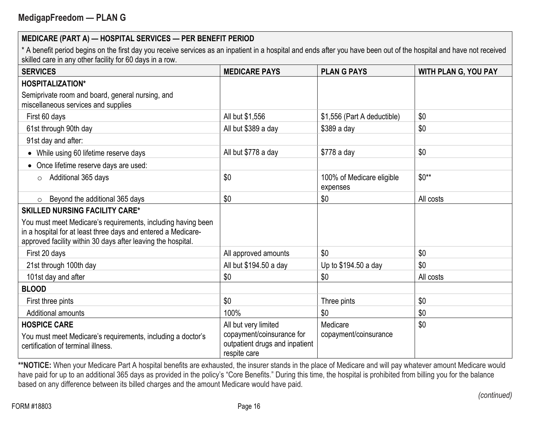\* A benefit period begins on the first day you receive services as an inpatient in a hospital and ends after you have been out of the hospital and have not received skilled care in any other facility for 60 days in a row.

| <b>SERVICES</b>                                                                                                                                                                               | <b>MEDICARE PAYS</b>                                                                                | <b>PLAN G PAYS</b>                    | <b>WITH PLAN G, YOU PAY</b> |
|-----------------------------------------------------------------------------------------------------------------------------------------------------------------------------------------------|-----------------------------------------------------------------------------------------------------|---------------------------------------|-----------------------------|
| <b>HOSPITALIZATION*</b>                                                                                                                                                                       |                                                                                                     |                                       |                             |
| Semiprivate room and board, general nursing, and<br>miscellaneous services and supplies                                                                                                       |                                                                                                     |                                       |                             |
| First 60 days                                                                                                                                                                                 | All but \$1,556                                                                                     | \$1,556 (Part A deductible)           | \$0                         |
| 61st through 90th day                                                                                                                                                                         | All but \$389 a day                                                                                 | $$389a$ day                           | \$0                         |
| 91st day and after:                                                                                                                                                                           |                                                                                                     |                                       |                             |
| While using 60 lifetime reserve days                                                                                                                                                          | All but \$778 a day                                                                                 | \$778 a day                           | \$0                         |
| Once lifetime reserve days are used:                                                                                                                                                          |                                                                                                     |                                       |                             |
| Additional 365 days<br>$\circ$                                                                                                                                                                | \$0                                                                                                 | 100% of Medicare eligible<br>expenses | $$0**$                      |
| Beyond the additional 365 days<br>$\circ$                                                                                                                                                     | \$0                                                                                                 | \$0                                   | All costs                   |
| <b>SKILLED NURSING FACILITY CARE*</b>                                                                                                                                                         |                                                                                                     |                                       |                             |
| You must meet Medicare's requirements, including having been<br>in a hospital for at least three days and entered a Medicare-<br>approved facility within 30 days after leaving the hospital. |                                                                                                     |                                       |                             |
| First 20 days                                                                                                                                                                                 | All approved amounts                                                                                | \$0                                   | \$0                         |
| 21st through 100th day                                                                                                                                                                        | All but \$194.50 a day                                                                              | Up to \$194.50 a day                  | \$0                         |
| 101st day and after                                                                                                                                                                           | \$0                                                                                                 | \$0                                   | All costs                   |
| <b>BLOOD</b>                                                                                                                                                                                  |                                                                                                     |                                       |                             |
| First three pints                                                                                                                                                                             | \$0                                                                                                 | Three pints                           | \$0                         |
| <b>Additional amounts</b>                                                                                                                                                                     | 100%                                                                                                | \$0                                   | \$0                         |
| <b>HOSPICE CARE</b><br>You must meet Medicare's requirements, including a doctor's<br>certification of terminal illness.                                                                      | All but very limited<br>copayment/coinsurance for<br>outpatient drugs and inpatient<br>respite care | Medicare<br>copayment/coinsurance     | \$0                         |

\*\*NOTICE: When your Medicare Part A hospital benefits are exhausted, the insurer stands in the place of Medicare and will pay whatever amount Medicare would have paid for up to an additional 365 days as provided in the policy's "Core Benefits." During this time, the hospital is prohibited from billing you for the balance based on any difference between its billed charges and the amount Medicare would have paid.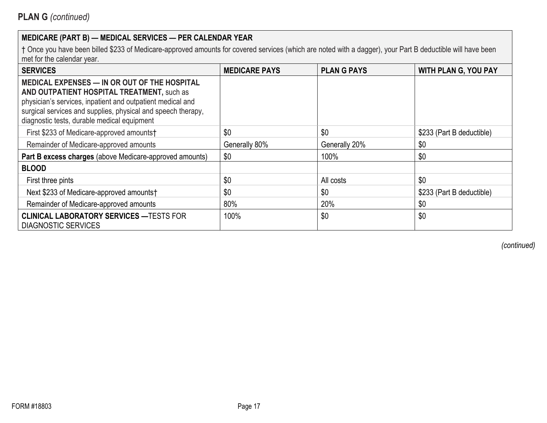† Once you have been billed \$233 of Medicare-approved amounts for covered services (which are noted with a dagger), your Part B deductible will have been met for the calendar year.

| <b>SERVICES</b>                                                                                                                                                                                                                                                         | <b>MEDICARE PAYS</b> | <b>PLANG PAYS</b> | <b>WITH PLAN G, YOU PAY</b> |
|-------------------------------------------------------------------------------------------------------------------------------------------------------------------------------------------------------------------------------------------------------------------------|----------------------|-------------------|-----------------------------|
| MEDICAL EXPENSES - IN OR OUT OF THE HOSPITAL<br>AND OUTPATIENT HOSPITAL TREATMENT, such as<br>physician's services, inpatient and outpatient medical and<br>surgical services and supplies, physical and speech therapy,<br>diagnostic tests, durable medical equipment |                      |                   |                             |
| First \$233 of Medicare-approved amounts†                                                                                                                                                                                                                               | \$0                  | \$0               | \$233 (Part B deductible)   |
| Remainder of Medicare-approved amounts                                                                                                                                                                                                                                  | Generally 80%        | Generally 20%     | \$0                         |
| Part B excess charges (above Medicare-approved amounts)                                                                                                                                                                                                                 | \$0                  | 100%              | \$0                         |
| <b>BLOOD</b>                                                                                                                                                                                                                                                            |                      |                   |                             |
| First three pints                                                                                                                                                                                                                                                       | \$0                  | All costs         | \$0                         |
| Next \$233 of Medicare-approved amounts                                                                                                                                                                                                                                 | \$0                  | \$0               | \$233 (Part B deductible)   |
| Remainder of Medicare-approved amounts                                                                                                                                                                                                                                  | 80%                  | 20%               | \$0                         |
| <b>CLINICAL LABORATORY SERVICES — TESTS FOR</b><br><b>DIAGNOSTIC SERVICES</b>                                                                                                                                                                                           | 100%                 | \$0               | \$0                         |

*(continued)*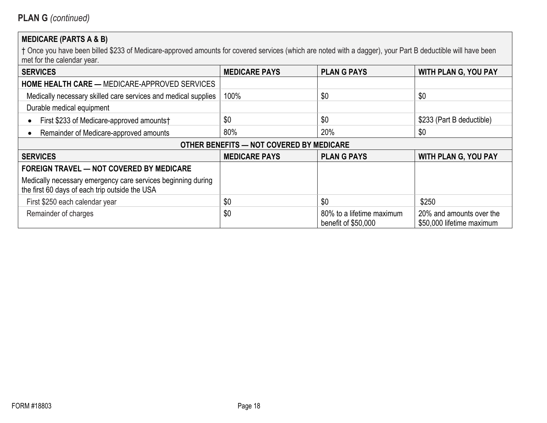# **MEDICARE (PARTS A & B)**

| <b>SERVICES</b>                                                                                                | <b>MEDICARE PAYS</b>                     | <b>PLANG PAYS</b>                                | <b>WITH PLAN G, YOU PAY</b>                           |  |
|----------------------------------------------------------------------------------------------------------------|------------------------------------------|--------------------------------------------------|-------------------------------------------------------|--|
| <b>HOME HEALTH CARE — MEDICARE-APPROVED SERVICES</b>                                                           |                                          |                                                  |                                                       |  |
| Medically necessary skilled care services and medical supplies                                                 | 100%                                     | \$0                                              | \$0                                                   |  |
| Durable medical equipment                                                                                      |                                          |                                                  |                                                       |  |
| First \$233 of Medicare-approved amounts†                                                                      | \$0                                      | \$0                                              | \$233 (Part B deductible)                             |  |
| Remainder of Medicare-approved amounts                                                                         | 80%                                      | 20%                                              | \$0                                                   |  |
|                                                                                                                | OTHER BENEFITS - NOT COVERED BY MEDICARE |                                                  |                                                       |  |
| <b>SERVICES</b>                                                                                                | <b>MEDICARE PAYS</b>                     | <b>PLAN G PAYS</b>                               | <b>WITH PLAN G, YOU PAY</b>                           |  |
| <b>FOREIGN TRAVEL — NOT COVERED BY MEDICARE</b>                                                                |                                          |                                                  |                                                       |  |
| Medically necessary emergency care services beginning during<br>the first 60 days of each trip outside the USA |                                          |                                                  |                                                       |  |
| First \$250 each calendar year                                                                                 | \$0                                      | \$0                                              | \$250                                                 |  |
| Remainder of charges                                                                                           | \$0                                      | 80% to a lifetime maximum<br>benefit of \$50,000 | 20% and amounts over the<br>\$50,000 lifetime maximum |  |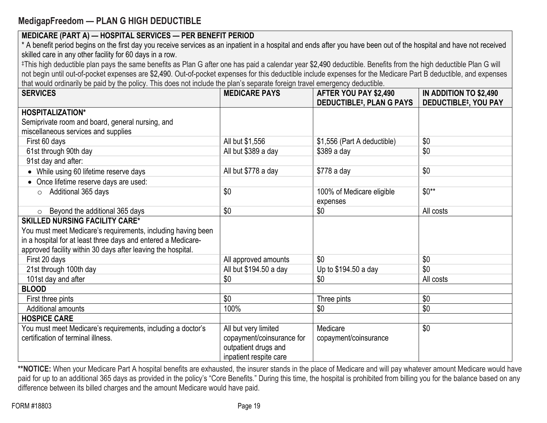# **MedigapFreedom — PLAN G HIGH DEDUCTIBLE**

**MEDICARE (PART A) — HOSPITAL SERVICES — PER BENEFIT PERIOD**

|                                                                                                                                                                      | MEDICARE (PART A) — HOSPITAL SERVICES — PER BENEFIT PERIOD |                                                          |                                                       |  |
|----------------------------------------------------------------------------------------------------------------------------------------------------------------------|------------------------------------------------------------|----------------------------------------------------------|-------------------------------------------------------|--|
| * A benefit period begins on the first day you receive services as an inpatient in a hospital and ends after you have been out of the hospital and have not received |                                                            |                                                          |                                                       |  |
| skilled care in any other facility for 60 days in a row.                                                                                                             |                                                            |                                                          |                                                       |  |
| #This high deductible plan pays the same benefits as Plan G after one has paid a calendar year \$2,490 deductible. Benefits from the high deductible Plan G will     |                                                            |                                                          |                                                       |  |
| not begin until out-of-pocket expenses are \$2,490. Out-of-pocket expenses for this deductible include expenses for the Medicare Part B deductible, and expenses     |                                                            |                                                          |                                                       |  |
| that would ordinarily be paid by the policy. This does not include the plan's separate foreign travel emergency deductible.                                          |                                                            |                                                          |                                                       |  |
| <b>SERVICES</b>                                                                                                                                                      | <b>MEDICARE PAYS</b>                                       | AFTER YOU PAY \$2,490<br><b>DEDUCTIBLE#, PLAN G PAYS</b> | IN ADDITION TO \$2,490<br><b>DEDUCTIBLE#, YOU PAY</b> |  |
| <b>HOSPITALIZATION*</b>                                                                                                                                              |                                                            |                                                          |                                                       |  |
| Semiprivate room and board, general nursing, and                                                                                                                     |                                                            |                                                          |                                                       |  |
| miscellaneous services and supplies                                                                                                                                  |                                                            |                                                          |                                                       |  |
| First 60 days                                                                                                                                                        | All but \$1,556                                            | \$1,556 (Part A deductible)                              | \$0                                                   |  |
| 61st through 90th day                                                                                                                                                | All but \$389 a day                                        | \$389 a day                                              | \$0                                                   |  |
| 91st day and after:                                                                                                                                                  |                                                            |                                                          |                                                       |  |
| • While using 60 lifetime reserve days                                                                                                                               | All but \$778 a day                                        | \$778 a day                                              | \$0                                                   |  |
| Once lifetime reserve days are used:                                                                                                                                 |                                                            |                                                          |                                                       |  |
| Additional 365 days<br>$\circ$                                                                                                                                       | \$0                                                        | 100% of Medicare eligible                                | $$0**$                                                |  |
|                                                                                                                                                                      |                                                            | expenses                                                 |                                                       |  |
| Beyond the additional 365 days<br>$\circ$                                                                                                                            | \$0                                                        | \$0                                                      | All costs                                             |  |
| <b>SKILLED NURSING FACILITY CARE*</b>                                                                                                                                |                                                            |                                                          |                                                       |  |
| You must meet Medicare's requirements, including having been                                                                                                         |                                                            |                                                          |                                                       |  |
| in a hospital for at least three days and entered a Medicare-                                                                                                        |                                                            |                                                          |                                                       |  |
| approved facility within 30 days after leaving the hospital.                                                                                                         |                                                            |                                                          |                                                       |  |
| First 20 days                                                                                                                                                        | All approved amounts                                       | \$0                                                      | \$0                                                   |  |
| 21st through 100th day                                                                                                                                               | All but \$194.50 a day                                     | Up to \$194.50 a day                                     | \$0                                                   |  |
| 101st day and after                                                                                                                                                  | \$0                                                        | \$0                                                      | All costs                                             |  |
| <b>BLOOD</b>                                                                                                                                                         |                                                            |                                                          |                                                       |  |
| First three pints                                                                                                                                                    | \$0                                                        | Three pints                                              | \$0                                                   |  |
| Additional amounts                                                                                                                                                   | 100%                                                       | \$0                                                      | \$0                                                   |  |
| <b>HOSPICE CARE</b>                                                                                                                                                  |                                                            |                                                          |                                                       |  |
| You must meet Medicare's requirements, including a doctor's                                                                                                          | All but very limited                                       | Medicare                                                 | \$0                                                   |  |
| certification of terminal illness.                                                                                                                                   | copayment/coinsurance for                                  | copayment/coinsurance                                    |                                                       |  |
|                                                                                                                                                                      | outpatient drugs and                                       |                                                          |                                                       |  |
|                                                                                                                                                                      | inpatient respite care                                     |                                                          |                                                       |  |

\*\*NOTICE: When your Medicare Part A hospital benefits are exhausted, the insurer stands in the place of Medicare and will pay whatever amount Medicare would have paid for up to an additional 365 days as provided in the policy's "Core Benefits." During this time, the hospital is prohibited from billing you for the balance based on any difference between its billed charges and the amount Medicare would have paid.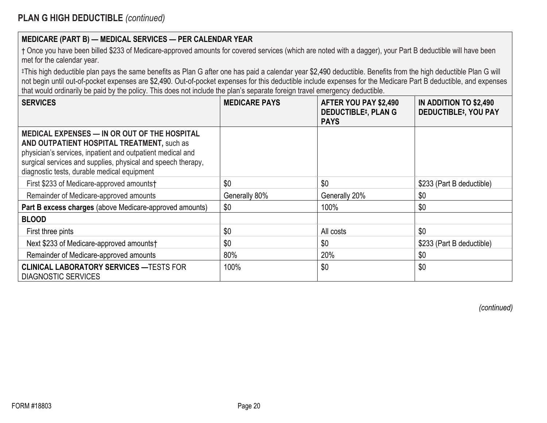| † Once you have been billed \$233 of Medicare-approved amounts for covered services (which are noted with a dagger), your Part B deductible will have been |  |
|------------------------------------------------------------------------------------------------------------------------------------------------------------|--|
| met for the calendar year.                                                                                                                                 |  |

‡This high deductible plan pays the same benefits as Plan G after one has paid a calendar year \$2,490 deductible. Benefits from the high deductible Plan G will not begin until out-of-pocket expenses are \$2,490. Out-of-pocket expenses for this deductible include expenses for the Medicare Part B deductible, and expenses that would ordinarily be paid by the policy. This does not include the plan's separate foreign travel emergency deductible.

| <b>SERVICES</b>                                                                                                                                                                                                                                                         | <b>MEDICARE PAYS</b> | AFTER YOU PAY \$2,490<br><b>DEDUCTIBLE#, PLAN G</b><br><b>PAYS</b> | IN ADDITION TO \$2,490<br><b>DEDUCTIBLE#, YOU PAY</b> |
|-------------------------------------------------------------------------------------------------------------------------------------------------------------------------------------------------------------------------------------------------------------------------|----------------------|--------------------------------------------------------------------|-------------------------------------------------------|
| MEDICAL EXPENSES - IN OR OUT OF THE HOSPITAL<br>AND OUTPATIENT HOSPITAL TREATMENT, such as<br>physician's services, inpatient and outpatient medical and<br>surgical services and supplies, physical and speech therapy,<br>diagnostic tests, durable medical equipment |                      |                                                                    |                                                       |
| First \$233 of Medicare-approved amounts†                                                                                                                                                                                                                               | \$0                  | \$0                                                                | \$233 (Part B deductible)                             |
| Remainder of Medicare-approved amounts                                                                                                                                                                                                                                  | Generally 80%        | Generally 20%                                                      | \$0                                                   |
| Part B excess charges (above Medicare-approved amounts)                                                                                                                                                                                                                 | \$0                  | 100%                                                               | \$0                                                   |
| <b>BLOOD</b>                                                                                                                                                                                                                                                            |                      |                                                                    |                                                       |
| First three pints                                                                                                                                                                                                                                                       | \$0                  | All costs                                                          | \$0                                                   |
| Next \$233 of Medicare-approved amounts                                                                                                                                                                                                                                 | \$0                  | \$0                                                                | \$233 (Part B deductible)                             |
| Remainder of Medicare-approved amounts                                                                                                                                                                                                                                  | 80%                  | 20%                                                                | \$0                                                   |
| <b>CLINICAL LABORATORY SERVICES - TESTS FOR</b><br><b>DIAGNOSTIC SERVICES</b>                                                                                                                                                                                           | 100%                 | \$0                                                                | \$0                                                   |

*(continued)*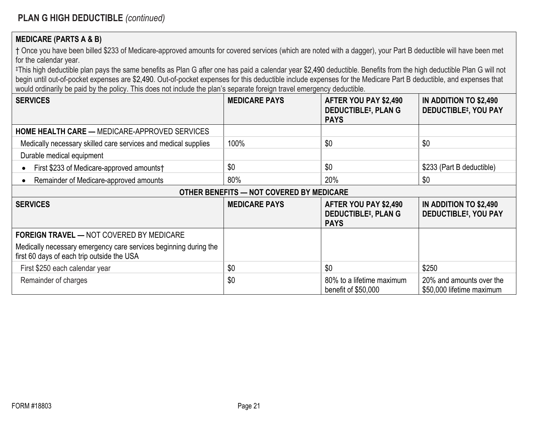## **MEDICARE (PARTS A & B)**

† Once you have been billed \$233 of Medicare-approved amounts for covered services (which are noted with a dagger), your Part B deductible will have been met for the calendar year.

‡This high deductible plan pays the same benefits as Plan G after one has paid a calendar year \$2,490 deductible. Benefits from the high deductible Plan G will not begin until out-of-pocket expenses are \$2,490. Out-of-pocket expenses for this deductible include expenses for the Medicare Part B deductible, and expenses that would ordinarily be paid by the policy. This does not include the plan's separate foreign travel emergency deductible.

| <b>SERVICES</b>                                                                                                | <b>MEDICARE PAYS</b>                     | AFTER YOU PAY \$2,490<br><b>DEDUCTIBLE#, PLAN G</b><br><b>PAYS</b> | IN ADDITION TO \$2,490<br><b>DEDUCTIBLE#, YOU PAY</b> |
|----------------------------------------------------------------------------------------------------------------|------------------------------------------|--------------------------------------------------------------------|-------------------------------------------------------|
| <b>HOME HEALTH CARE — MEDICARE-APPROVED SERVICES</b>                                                           |                                          |                                                                    |                                                       |
| Medically necessary skilled care services and medical supplies                                                 | 100%                                     | \$0                                                                | \$0                                                   |
| Durable medical equipment                                                                                      |                                          |                                                                    |                                                       |
| First \$233 of Medicare-approved amounts†                                                                      | \$0                                      | \$0                                                                | \$233 (Part B deductible)                             |
| Remainder of Medicare-approved amounts                                                                         | 80%                                      | 20%                                                                | \$0                                                   |
|                                                                                                                | OTHER BENEFITS - NOT COVERED BY MEDICARE |                                                                    |                                                       |
| <b>SERVICES</b>                                                                                                | <b>MEDICARE PAYS</b>                     | AFTER YOU PAY \$2,490<br><b>DEDUCTIBLE#, PLAN G</b><br><b>PAYS</b> | IN ADDITION TO \$2,490<br><b>DEDUCTIBLE#, YOU PAY</b> |
| <b>FOREIGN TRAVEL — NOT COVERED BY MEDICARE</b>                                                                |                                          |                                                                    |                                                       |
| Medically necessary emergency care services beginning during the<br>first 60 days of each trip outside the USA |                                          |                                                                    |                                                       |
| First \$250 each calendar year                                                                                 | \$0                                      | \$0                                                                | \$250                                                 |
| Remainder of charges                                                                                           | \$0                                      | 80% to a lifetime maximum<br>benefit of \$50,000                   | 20% and amounts over the<br>\$50,000 lifetime maximum |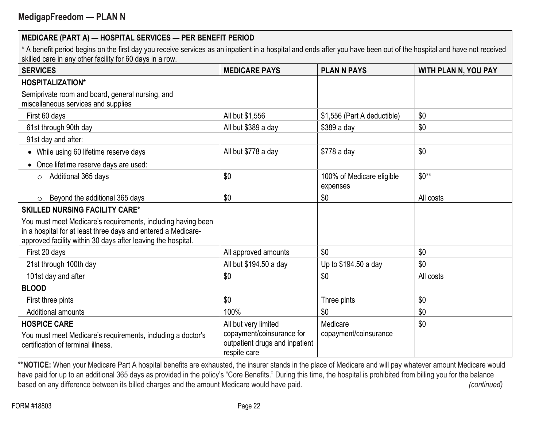\* A benefit period begins on the first day you receive services as an inpatient in a hospital and ends after you have been out of the hospital and have not received skilled care in any other facility for 60 days in a row.

| <b>SERVICES</b>                                                                                                                                                                               | <b>MEDICARE PAYS</b>                                                                                | <b>PLAN N PAYS</b>                    | <b>WITH PLAN N, YOU PAY</b> |
|-----------------------------------------------------------------------------------------------------------------------------------------------------------------------------------------------|-----------------------------------------------------------------------------------------------------|---------------------------------------|-----------------------------|
| <b>HOSPITALIZATION*</b>                                                                                                                                                                       |                                                                                                     |                                       |                             |
| Semiprivate room and board, general nursing, and<br>miscellaneous services and supplies                                                                                                       |                                                                                                     |                                       |                             |
| First 60 days                                                                                                                                                                                 | All but \$1,556                                                                                     | \$1,556 (Part A deductible)           | \$0                         |
| 61st through 90th day                                                                                                                                                                         | All but \$389 a day                                                                                 | $$389a$ day                           | \$0                         |
| 91st day and after:                                                                                                                                                                           |                                                                                                     |                                       |                             |
| While using 60 lifetime reserve days                                                                                                                                                          | All but \$778 a day                                                                                 | \$778 a day                           | \$0                         |
| Once lifetime reserve days are used:                                                                                                                                                          |                                                                                                     |                                       |                             |
| Additional 365 days<br>$\circ$                                                                                                                                                                | \$0                                                                                                 | 100% of Medicare eligible<br>expenses | $$0**$                      |
| Beyond the additional 365 days<br>$\circ$                                                                                                                                                     | \$0                                                                                                 | \$0                                   | All costs                   |
| <b>SKILLED NURSING FACILITY CARE*</b>                                                                                                                                                         |                                                                                                     |                                       |                             |
| You must meet Medicare's requirements, including having been<br>in a hospital for at least three days and entered a Medicare-<br>approved facility within 30 days after leaving the hospital. |                                                                                                     |                                       |                             |
| First 20 days                                                                                                                                                                                 | All approved amounts                                                                                | \$0                                   | \$0                         |
| 21st through 100th day                                                                                                                                                                        | All but \$194.50 a day                                                                              | Up to \$194.50 a day                  | \$0                         |
| 101st day and after                                                                                                                                                                           | \$0                                                                                                 | \$0                                   | All costs                   |
| <b>BLOOD</b>                                                                                                                                                                                  |                                                                                                     |                                       |                             |
| First three pints                                                                                                                                                                             | \$0                                                                                                 | Three pints                           | \$0                         |
| <b>Additional amounts</b>                                                                                                                                                                     | 100%                                                                                                | \$0                                   | \$0                         |
| <b>HOSPICE CARE</b><br>You must meet Medicare's requirements, including a doctor's<br>certification of terminal illness.                                                                      | All but very limited<br>copayment/coinsurance for<br>outpatient drugs and inpatient<br>respite care | Medicare<br>copayment/coinsurance     | \$0                         |

\*\*NOTICE: When your Medicare Part A hospital benefits are exhausted, the insurer stands in the place of Medicare and will pay whatever amount Medicare would have paid for up to an additional 365 days as provided in the policy's "Core Benefits." During this time, the hospital is prohibited from billing you for the balance based on any difference between its billed charges and the amount Medicare would have paid. (continued) (continued)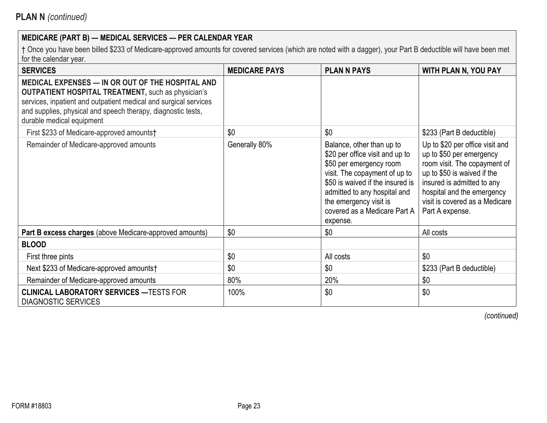† Once you have been billed \$233 of Medicare-approved amounts for covered services (which are noted with a dagger), your Part B deductible will have been met for the calendar year.

| <b>SERVICES</b>                                                                                                                                                                                                                                                                       | <b>MEDICARE PAYS</b> | <b>PLAN N PAYS</b>                                                                                                                                                                                                                                                   | <b>WITH PLAN N, YOU PAY</b>                                                                                                                                                                                                                 |
|---------------------------------------------------------------------------------------------------------------------------------------------------------------------------------------------------------------------------------------------------------------------------------------|----------------------|----------------------------------------------------------------------------------------------------------------------------------------------------------------------------------------------------------------------------------------------------------------------|---------------------------------------------------------------------------------------------------------------------------------------------------------------------------------------------------------------------------------------------|
| <b>MEDICAL EXPENSES - IN OR OUT OF THE HOSPITAL AND</b><br><b>OUTPATIENT HOSPITAL TREATMENT, such as physician's</b><br>services, inpatient and outpatient medical and surgical services<br>and supplies, physical and speech therapy, diagnostic tests,<br>durable medical equipment |                      |                                                                                                                                                                                                                                                                      |                                                                                                                                                                                                                                             |
| First \$233 of Medicare-approved amounts†                                                                                                                                                                                                                                             | \$0                  | \$0                                                                                                                                                                                                                                                                  | \$233 (Part B deductible)                                                                                                                                                                                                                   |
| Remainder of Medicare-approved amounts                                                                                                                                                                                                                                                | Generally 80%        | Balance, other than up to<br>\$20 per office visit and up to<br>\$50 per emergency room<br>visit. The copayment of up to<br>\$50 is waived if the insured is<br>admitted to any hospital and<br>the emergency visit is<br>covered as a Medicare Part A  <br>expense. | Up to \$20 per office visit and<br>up to \$50 per emergency<br>room visit. The copayment of<br>up to \$50 is waived if the<br>insured is admitted to any<br>hospital and the emergency<br>visit is covered as a Medicare<br>Part A expense. |
| Part B excess charges (above Medicare-approved amounts)                                                                                                                                                                                                                               | \$0                  | \$0                                                                                                                                                                                                                                                                  | All costs                                                                                                                                                                                                                                   |
| <b>BLOOD</b>                                                                                                                                                                                                                                                                          |                      |                                                                                                                                                                                                                                                                      |                                                                                                                                                                                                                                             |
| First three pints                                                                                                                                                                                                                                                                     | \$0                  | All costs                                                                                                                                                                                                                                                            | \$0                                                                                                                                                                                                                                         |
| Next \$233 of Medicare-approved amounts†                                                                                                                                                                                                                                              | \$0                  | \$0                                                                                                                                                                                                                                                                  | \$233 (Part B deductible)                                                                                                                                                                                                                   |
| Remainder of Medicare-approved amounts                                                                                                                                                                                                                                                | 80%                  | 20%                                                                                                                                                                                                                                                                  | \$0                                                                                                                                                                                                                                         |
| <b>CLINICAL LABORATORY SERVICES - TESTS FOR</b><br><b>DIAGNOSTIC SERVICES</b>                                                                                                                                                                                                         | 100%                 | \$0                                                                                                                                                                                                                                                                  | \$0                                                                                                                                                                                                                                         |

*(continued)*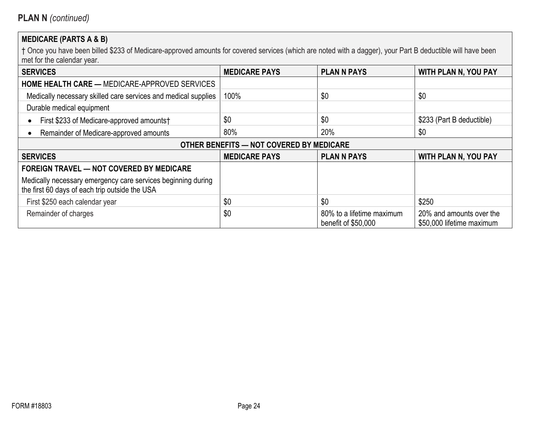# **MEDICARE (PARTS A & B)**

| <b>SERVICES</b>                                                                                                | <b>MEDICARE PAYS</b> | <b>PLAN N PAYS</b>                               | <b>WITH PLAN N, YOU PAY</b>                           |  |  |
|----------------------------------------------------------------------------------------------------------------|----------------------|--------------------------------------------------|-------------------------------------------------------|--|--|
| <b>HOME HEALTH CARE — MEDICARE-APPROVED SERVICES</b>                                                           |                      |                                                  |                                                       |  |  |
| Medically necessary skilled care services and medical supplies                                                 | 100%                 | \$0                                              | \$0                                                   |  |  |
| Durable medical equipment                                                                                      |                      |                                                  |                                                       |  |  |
| First \$233 of Medicare-approved amounts†                                                                      | \$0                  | \$0                                              | \$233 (Part B deductible)                             |  |  |
| Remainder of Medicare-approved amounts                                                                         | 80%                  | 20%                                              | \$0                                                   |  |  |
| OTHER BENEFITS - NOT COVERED BY MEDICARE                                                                       |                      |                                                  |                                                       |  |  |
| <b>SERVICES</b>                                                                                                | <b>MEDICARE PAYS</b> | <b>PLAN N PAYS</b>                               | <b>WITH PLAN N, YOU PAY</b>                           |  |  |
| <b>FOREIGN TRAVEL — NOT COVERED BY MEDICARE</b>                                                                |                      |                                                  |                                                       |  |  |
| Medically necessary emergency care services beginning during<br>the first 60 days of each trip outside the USA |                      |                                                  |                                                       |  |  |
| First \$250 each calendar year                                                                                 | \$0                  | \$0                                              | \$250                                                 |  |  |
| Remainder of charges                                                                                           | \$0                  | 80% to a lifetime maximum<br>benefit of \$50,000 | 20% and amounts over the<br>\$50,000 lifetime maximum |  |  |